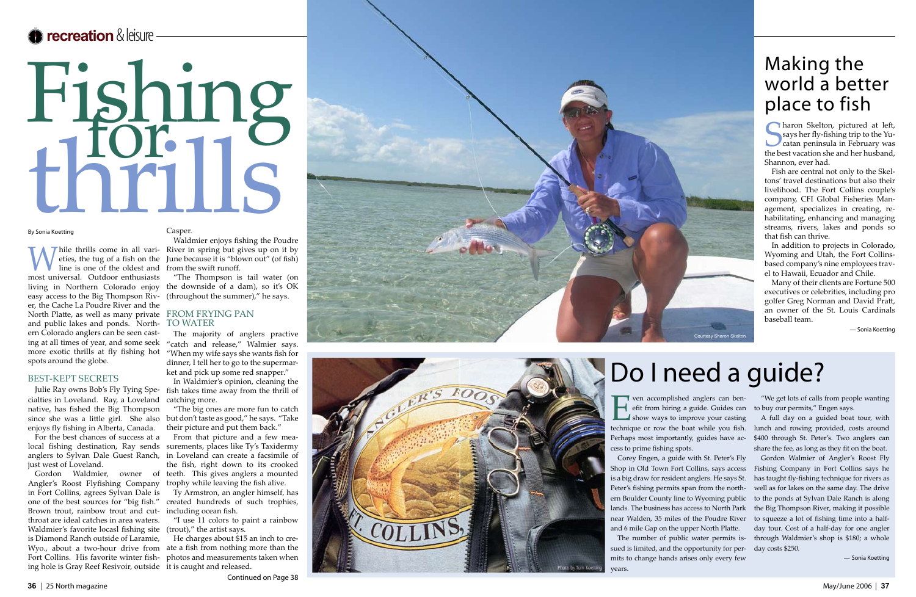## **recreation** & leisure

# Fishing<br>1101118 third Length

#### By Sonia Koetting

While thrills come in all variations.<br>
The time is one of the oldest and<br>
meet universal Outdoor on thusiast eties, the tug of a fish on the line is one of the oldest and most universal. Outdoor enthusiasts living in Northern Colorado enjoy easy access to the Big Thompson Riv er, the Cache La Poudre River and the North Platte, as well as many private FROM FRYING PAN and public lakes and ponds. North ern Colorado anglers can be seen cast ing at all times of year, and some seek more exotic thrills at fly fishing hot spots around the globe.

#### BEST-KEPT SECRETS

Julie Ray owns Bob's Fly Tying Spe cialties in Loveland. Ray, a Loveland native, has fished the Big Thompson since she was a little girl. She also enjoys fly fishing in Alberta, Canada.

- River in spring but gives up on it by Waldmier enjoys fishing the Poudre June because it is "blown out" (of fish) from the swift runoff.

For the best chances of success at a local fishing destination, Ray sends just west of Loveland.

#### Casper.

Sharon Skelton, pictured at left,<br>
says her fly-fishing trip to the Yucatan peninsula in February was<br>
the best vacation she and her husband says her fly-fishing trip to the Yu catan peninsula in February was the best vacation she and her husband, Shannon, ever had.

"The Thompson is tail water (on the downside of a dam), so it's OK (throughout the summer)," he says.

anglers to Sylvan Dale Guest Ranch, in Loveland can create a facsimile of Gordon Waldmier, owner of teeth. This gives anglers a mounted From that picture and a few mea surements, places like Ty's Taxidermy the fish, right down to its crooked trophy while leaving the fish alive.

### TO WATER

The majority of anglers practive "catch and release," Walmier says. "When my wife says she wants fish for dinner, I tell her to go to the supermar ket and pick up some red snapper."

Angler's Roost Flyfishing Company in Fort Collins, agrees Sylvan Dale is one of the best sources for "big fish." Brown trout, rainbow trout and cut throat are ideal catches in area waters. Waldmier's favorite locasl fishing site (trout)," the artist says. is Diamond Ranch outside of Laramie, Wyo., about a two-hour drive from Fort Collins. His favorite winter fish ing hole is Gray Reef Resivoir, outside it is caught and released.

In Waldmier's opinion, cleaning the fish takes time away from the thrill of catching more.

"The big ones are more fun to catch but don't taste as good," he says. "Take their picture and put them back."

**Even accomplished anglers can ben-**<br>efit from hiring a guide. Guides can<br>show ways to improve your casting efit from hiring a guide. Guides can show ways to improve your casting technique or row the boat while you fish. Perhaps most importantly, guides have ac cess to prime fishing spots. to buy our permits," Engen says. A full day on a guided boat tour, with lunch and rowing provided, costs around \$400 through St. Peter's. Two anglers can share the fee, as long as they fit on the boat.

Ty Armstron, an angler himself, has created hundreds of such trophies, including ocean fish.

"I use 11 colors to paint a rainbow

He charges about \$15 an inch to cre ate a fish from nothing more than the photos and measurements taken when





# Do I need a guide?



# Making the world a better place to fish

Fish are central not only to the Skel tons' travel destinations but also their livelihood. The Fort Collins couple's company, CFI Global Fisheries Man agement, specializes in creating, re habilitating, enhancing and managing streams, rivers, lakes and ponds so that fish can thrive.

In addition to projects in Colorado, Wyoming and Utah, the Fort Collinsbased company's nine employees travel to Hawaii, Ecuador and Chile.

Many of their clients are Fortune 500 executives or celebrities, including pro golfer Greg Norman and David Pratt, an owner of the St. Louis Cardinals baseball team.

— Sonia Koetting

mits to change hands arises only every few years.

"We get lots of calls from people wanting

Corey Engen, a guide with St. Peter's Fly Shop in Old Town Fort Collins, says access Fishing Company in Fort Collins says he is a big draw for resident anglers. He says St. Peter's fishing permits span from the northern Boulder County line to Wyoming public lands. The business has access to North Park near Walden, 35 miles of the Poudre River and 6 mile Gap on the upper North Platte. The number of public water permits is sued is limited, and the opportunity for per - Gordon Walmier of Angler's Roost Fly has taught fly-fishing technique for rivers as well as for lakes on the same day. The drive to the ponds at Sylvan Dale Ranch is along the Big Thompson River, making it possible to squeeze a lot of fishing time into a halfday tour. Cost of a half-day for one angler through Waldmier's shop is \$180; a whole day costs \$250.

— Sonia Koetting

Continued on Page 38